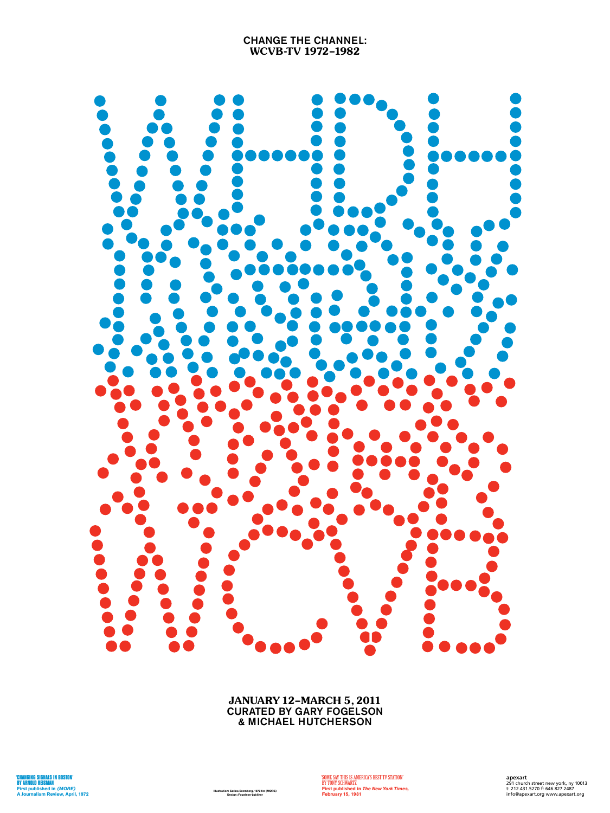

**Illustration: Sarina Bromberg, 1972 for (MORE)**<br>Design: Fogelson-Lubliner

**'SOME SAY THIS IS AMERICA'S BEST TV STATION' By Tony Schwartz First published in** *The New York Times,* Illustration: Sarina Bromberg, 1972 for (MORE)<br>Design: Fogelson-Lubliner **Info@apexart.org www.apexart.org Info@apexart.org www.apexart.org** 

## Change the Channel: WCVB-TV 1972–1982



JANUARY 12–MARCH 5, 2011 CURATED BY GARY FOGELSON & MICHAEL HUTCHERSON

> **apexart** 291 church street new york, ny 10013 t: 212.431.5270 f: 646.827.2487